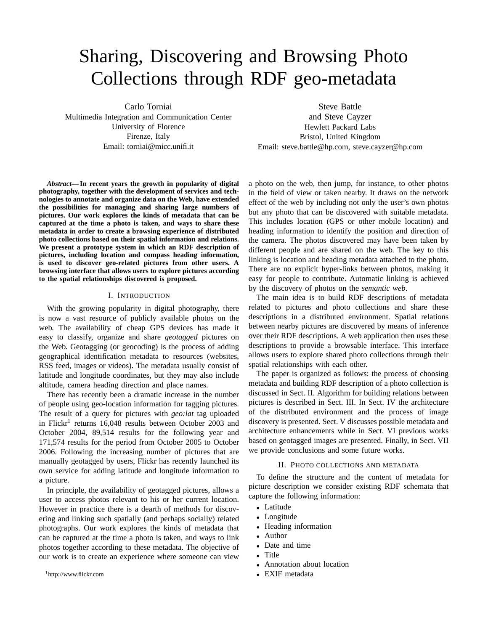# Sharing, Discovering and Browsing Photo Collections through RDF geo-metadata

Carlo Torniai

Multimedia Integration and Communication Center University of Florence Firenze, Italy Email: torniai@micc.unifi.it

*Abstract***— In recent years the growth in popularity of digital photography, together with the development of services and technologies to annotate and organize data on the Web, have extended the possibilities for managing and sharing large numbers of pictures. Our work explores the kinds of metadata that can be captured at the time a photo is taken, and ways to share these metadata in order to create a browsing experience of distributed photo collections based on their spatial information and relations. We present a prototype system in which an RDF description of pictures, including location and compass heading information, is used to discover geo-related pictures from other users. A browsing interface that allows users to explore pictures according to the spatial relationships discovered is proposed.**

#### I. INTRODUCTION

With the growing popularity in digital photography, there is now a vast resource of publicly available photos on the web. The availability of cheap GPS devices has made it easy to classify, organize and share *geotagged* pictures on the Web. Geotagging (or geocoding) is the process of adding geographical identification metadata to resources (websites, RSS feed, images or videos). The metadata usually consist of latitude and longitude coordinates, but they may also include altitude, camera heading direction and place names.

There has recently been a dramatic increase in the number of people using geo-location information for tagging pictures. The result of a query for pictures with *geo:lat* tag uploaded in Flickr<sup>1</sup> returns 16,048 results between October 2003 and October 2004, 89,514 results for the following year and 171,574 results for the period from October 2005 to October 2006. Following the increasing number of pictures that are manually geotagged by users, Flickr has recently launched its own service for adding latitude and longitude information to a picture.

In principle, the availability of geotagged pictures, allows a user to access photos relevant to his or her current location. However in practice there is a dearth of methods for discovering and linking such spatially (and perhaps socially) related photographs. Our work explores the kinds of metadata that can be captured at the time a photo is taken, and ways to link photos together according to these metadata. The objective of our work is to create an experience where someone can view

<sup>1</sup>http://www.flickr.com

Steve Battle

and Steve Cayzer Hewlett Packard Labs Bristol, United Kingdom Email: steve.battle@hp.com, steve.cayzer@hp.com

a photo on the web, then jump, for instance, to other photos in the field of view or taken nearby. It draws on the network effect of the web by including not only the user's own photos but any photo that can be discovered with suitable metadata. This includes location (GPS or other mobile location) and heading information to identify the position and direction of the camera. The photos discovered may have been taken by different people and are shared on the web. The key to this linking is location and heading metadata attached to the photo. There are no explicit hyper-links between photos, making it easy for people to contribute. Automatic linking is achieved by the discovery of photos on the *semantic web*.

The main idea is to build RDF descriptions of metadata related to pictures and photo collections and share these descriptions in a distributed environment. Spatial relations between nearby pictures are discovered by means of inference over their RDF descriptions. A web application then uses these descriptions to provide a browsable interface. This interface allows users to explore shared photo collections through their spatial relationships with each other.

The paper is organized as follows: the process of choosing metadata and building RDF description of a photo collection is discussed in Sect. II. Algorithm for building relations between pictures is described in Sect. III. In Sect. IV the architecture of the distributed environment and the process of image discovery is presented. Sect. V discusses possible metadata and architecture enhancements while in Sect. VI previous works based on geotagged images are presented. Finally, in Sect. VII we provide conclusions and some future works.

## II. PHOTO COLLECTIONS AND METADATA

To define the structure and the content of metadata for picture description we consider existing RDF schemata that capture the following information:

- Latitude
- Longitude
- Heading information
- Author
- Date and time
- Title
- Annotation about location
- EXIF metadata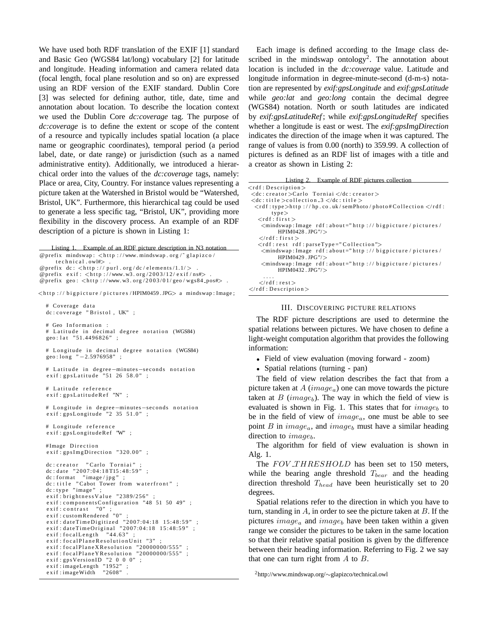We have used both RDF translation of the EXIF [1] standard and Basic Geo (WGS84 lat/long) vocabulary [2] for latitude and longitude. Heading information and camera related data (focal length, focal plane resolution and so on) are expressed using an RDF version of the EXIF standard. Dublin Core [3] was selected for defining author, title, date, time and annotation about location. To describe the location context we used the Dublin Core *dc:coverage* tag. The purpose of *dc:coverage* is to define the extent or scope of the content of a resource and typically includes spatial location (a place name or geographic coordinates), temporal period (a period label, date, or date range) or jurisdiction (such as a named administrative entity). Additionally, we introduced a hierarchical order into the values of the *dc:coverage* tags, namely: Place or area, City, Country. For instance values representing a picture taken at the Watershed in Bristol would be "Watershed, Bristol, UK". Furthermore, this hierarchical tag could be used to generate a less specific tag, "Bristol, UK", providing more flexibility in the discovery process. An example of an RDF description of a picture is shown in Listing 1:

Listing 1. Example of an RDF picture description in N3 notation @prefix mindswap: <http://www.mindswap.org/~glapizco/  $technical$   $ow1#>$ 

@prefix  $dc$ : <http://purl.org/dc/elements/1.1/>

@prefix exif: <http://www.w3.org/2003/12/exif/ns#>

@prefix geo:  $\langle$ http://www.w3.org/2003/01/geo/wgs84\_pos#>.

<http://bigpicture/pictures/HPIM0459.JPG> a mindswap:Image;

```
# Coverage data
dc: coverage "Bristol, UK";
# Geo Information :
# Latitude in decimal degree notation (WGS84)
geo: lat "51.4496826";
# Longitude in decimal degree notation (WGS84)
geo: long " -2.5976958"
# Latitude in degree-minutes-seconds notation
exist: gpsLatitude "51 26 58.0"
# Latitude reference
exif: gpsLatitudeRef "N";
# Longitude in degree-minutes-seconds notation
exist: gpsLongitude "2 35 51.0" ;# Longitude reference
exif: gpsLongitudeRef "W";
#Image Direction
exif: gpsImgDirection "320.00";
dc : c r e a t o r " Carlo Torniai"
dc: date "2007:04:18T15:48:59"
dc: format "image/jpg"
dc:title "Cabot Tower from waterfront" ;<br>dc:type "image" ;
exist: brightness Value "2389/256"
\text{exit:componentsConfiguration} "48 51 50 49" ;<br>exif:contrast "0" :
exist: contrastexist: customRendered \nightharpoonup" 0"e x i f : d a t e T i m e D i g i t i z e d " 2 0 0 7 : 0 4 : 1 8 1 5 : 4 8 : 5 9 " ;
e x i f : d a t e T i m e O r i g i n a l " 2 0 0 7 : 0 4 : 1 8 1 5 : 4 8 : 5 9 " ;
exist: focalLength "44.63"
exif: focalPlaneResolutionUnit "3"
exist: focalPlane XResolution "20000000/555";
exif : focal Plane Y Resolution "20000000/555";<br>exif : gps Version ID "2\ 0\ 0\ 0";
exif: gpsVersionIDexist: imageLength "1952";
exif: imageWidth "2608"
```
Each image is defined according to the Image class described in the mindswap ontology<sup>2</sup>. The annotation about location is included in the *dc:coverage* value. Latitude and longitude information in degree-minute-second (d-m-s) notation are represented by *exif:gpsLongitude* and *exif:gpsLatitude* while *geo:lat* and *geo:long* contain the decimal degree (WGS84) notation. North or south latitudes are indicated by *exif:gpsLatitudeRef* ; while *exif:gpsLongitudeRef* specifies whether a longitude is east or west. The *exif:gpsImgDirection* indicates the direction of the image when it was captured. The range of values is from 0.00 (north) to 359.99. A collection of pictures is defined as an RDF list of images with a title and a creator as shown in Listing 2:

| Listing 2. Example of RDF pictures collection                                                                                                                                                                                                                                                                                           |
|-----------------------------------------------------------------------------------------------------------------------------------------------------------------------------------------------------------------------------------------------------------------------------------------------------------------------------------------|
| $\langle$ rdf : Description $\rangle$                                                                                                                                                                                                                                                                                                   |
| $\langle dc: \text{creator} \rangle$ Carlo Torniai $\langle dc: \text{creator} \rangle$                                                                                                                                                                                                                                                 |
| $<<$ dc: title $>>$ collection $3$ $<<$ dc: title $>$                                                                                                                                                                                                                                                                                   |
| $\langle \text{rdf}: \text{type} \rangle$ http://hp.co.uk/semPhoto/photo#Collection $\langle \text{rdf}: \text{type} \rangle$                                                                                                                                                                                                           |
| type                                                                                                                                                                                                                                                                                                                                    |
| $<$ rdf : first $>$                                                                                                                                                                                                                                                                                                                     |
| $\leq$ mindswap: Image rdf: about="http://bigpicture/pictures/                                                                                                                                                                                                                                                                          |
| $HPIM0428.$ JPG"/ $>$                                                                                                                                                                                                                                                                                                                   |
| $\langle$ rdf: first $\rangle$                                                                                                                                                                                                                                                                                                          |
| $\langle$ rdf: rest rdf: parseType="Collection">                                                                                                                                                                                                                                                                                        |
| <mindswap: <="" about="http://bigpicture/pictures/&lt;/td&gt;&lt;/tr&gt;&lt;tr&gt;&lt;td&gt;&lt;math&gt;HPIM0429&lt;/math&gt;. &lt;math&gt;IPG''&lt;/math&gt;&lt;/td&gt;&lt;/tr&gt;&lt;tr&gt;&lt;td&gt;&lt;math&gt;\leq&lt;/math&gt;mindswap: Image rdf: about=" bigpicture="" http:="" image="" pictures="" rdf:="" td=""></mindswap:> |
| $HPIM0432.$ JPG"/ $>$                                                                                                                                                                                                                                                                                                                   |
| .<br>$\langle$ rdf:rest $\rangle$                                                                                                                                                                                                                                                                                                       |
|                                                                                                                                                                                                                                                                                                                                         |
| $\langle$ rdf: Description $\rangle$                                                                                                                                                                                                                                                                                                    |

# III. DISCOVERING PICTURE RELATIONS

The RDF picture descriptions are used to determine the spatial relations between pictures. We have chosen to define a light-weight computation algorithm that provides the following information:

• Field of view evaluation (moving forward - zoom)

• Spatial relations (turning - pan)

The field of view relation describes the fact that from a picture taken at  $A$  (image<sub>a</sub>) one can move towards the picture taken at  $B$  (image<sub>b</sub>). The way in which the field of view is evaluated is shown in Fig. 1. This states that for  $image_b$  to be in the field of view of  $image_a$ , one must be able to see point B in  $image_a$ , and  $image_b$  must have a similar heading direction to  $image_b$ .

The algorithm for field of view evaluation is shown in Alg. 1.

The FOV\_THRESHOLD has been set to 150 meters, while the bearing angle threshold  $T_{\text{bear}}$  and the heading direction threshold  $T_{head}$  have been heuristically set to 20 degrees.

Spatial relations refer to the direction in which you have to turn, standing in  $A$ , in order to see the picture taken at  $B$ . If the pictures  $image_a$  and  $image_b$  have been taken within a given range we consider the pictures to be taken in the same location so that their relative spatial position is given by the difference between their heading information. Referring to Fig. 2 we say that one can turn right from  $A$  to  $B$ .

<sup>2</sup>http://www.mindswap.org/∼glapizco/technical.owl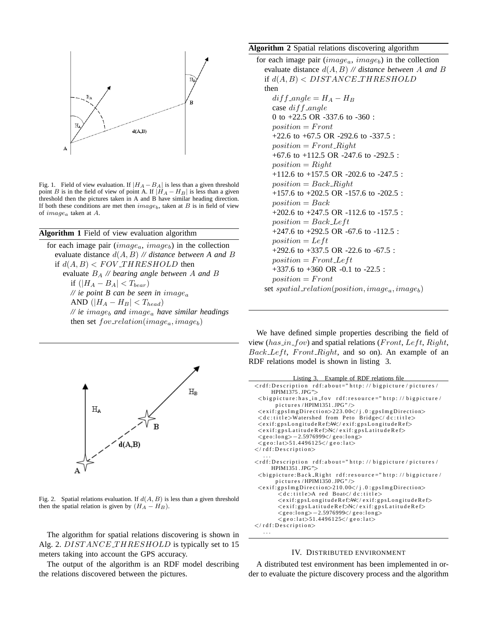

Fig. 1. Field of view evaluation. If  $|H_A - B_A|$  is less than a given threshold point B is in the field of view of point A. If  $|H_A - H_B|$  is less than a given threshold then the pictures taken in A and B have similar heading direction. If both these conditions are met then  $image_b$ , taken at B is in field of view of imagea taken at A.

## **Algorithm 1** Field of view evaluation algorithm

for each image pair  $(image_a, image_b)$  in the collection evaluate distance d(A, B) *// distance between A and* B if  $d(A, B) < FOV$  THRESHOLD then evaluate B<sup>A</sup> *// bearing angle between* A *and* B if  $(|H_A - B_A| < T_{bear})$ *// ie point B can be seen in* image<sup>a</sup> AND  $(|H_A - H_B| < T_{head})$  $\mathcal{N}$  *ie* image<sub>b</sub> and image<sub>a</sub> have similar headings then set  $fov_{relation}(image_a, image_b)$ 



Fig. 2. Spatial relations evaluation. If  $d(A, B)$  is less than a given threshold then the spatial relation is given by  $(H_A - H_B)$ .

The algorithm for spatial relations discovering is shown in Alg. 2. DISTANCE THRESHOLD is typically set to 15 meters taking into account the GPS accuracy.

The output of the algorithm is an RDF model describing the relations discovered between the pictures.

# **Algorithm 2** Spatial relations discovering algorithm

for each image pair  $(image_a, image_b)$  in the collection evaluate distance d(A, B) *// distance between* A *and* B if  $d(A, B)$  < DISTANCE\_THRESHOLD then  $diff\_angle = H_A - H_B$ case  $diff\_angle$ 

0 to +22.5 OR -337.6 to -360 :  $position = Front$ +22.6 to +67.5 OR -292.6 to -337.5 :  $position = Front\_Right$ +67.6 to +112.5 OR -247.6 to -292.5 :  $position = Right$ +112.6 to +157.5 OR -202.6 to -247.5 :  $position = Back\_Right$ +157.6 to +202.5 OR -157.6 to -202.5 :  $position = Back$ +202.6 to +247.5 OR -112.6 to -157.5 :  $position = Back{\_}Left$ +247.6 to +292.5 OR -67.6 to -112.5 :  $position = Left$ +292.6 to +337.5 OR -22.6 to -67.5 :  $position = Front{\_}left$ +337.6 to +360 OR -0.1 to -22.5 :  $position = Front$ 

set  $spatial\_relation(position, image_a, image_b)$ 

We have defined simple properties describing the field of view ( $has_in\_fov$ ) and spatial relations (*Front*, *Left*, *Right*,  $Back{\_}Left$ , Front\_Right, and so on). An example of an RDF relations model is shown in listing 3.

| Listing 3. Example of RDF relations file                                                                                          |
|-----------------------------------------------------------------------------------------------------------------------------------|
| <rdf:description rdf:about="http://bigpicture/pictures/&lt;/td&gt;&lt;/tr&gt;&lt;tr&gt;&lt;td&gt;HPIM1375.JPG"></rdf:description> |
| <br>solution of the source = "http://bigpicture/                                                                                  |
| pictures/HPIM1351.JPG" $\ge$                                                                                                      |
| <exif:gpsimgdirection>223.00</exif:gpsimgdirection>                                                                               |
| <dc:title>Watershed from Peto Bridge</dc:title>                                                                                   |
| <exif:gpslongituderef>W</exif:gpslongituderef>                                                                                    |
| <exif:gpslatituderef>N</exif:gpslatituderef>                                                                                      |
| $\langle$ geo:long>-2.5976999 $\langle$ /geo:long>                                                                                |
| $\langle$ geo:lat>51.4496125 $\langle$ /geo:lat>                                                                                  |
| $\langle$ rdf: Description $>$                                                                                                    |
| .                                                                                                                                 |
| <rdf:description rdf:about="http://bigpicture/pictures/&lt;/td&gt;&lt;/tr&gt;&lt;tr&gt;&lt;td&gt;HPIM1351.JPG"></rdf:description> |
| <bigpicture: <math="" back_right="" rdf:resource="http://bigpicture/&lt;br&gt;pictures/HPIM1350.JPG">\ge</bigpicture:>            |
| <exif:gpsimgdirection>210.00</exif:gpsimgdirection>                                                                               |
| <dc:title>A red Boat</dc:title>                                                                                                   |
|                                                                                                                                   |
| <exif:gpslongituderef>W</exif:gpslongituderef>                                                                                    |
| $\langle$ exif:gpsLatitudeRef $\gg$ K $/$ exif:gpsLatitudeRef $>$                                                                 |
| $\langle$ geo:long>-2.5976999 $\langle$ /geo:long>                                                                                |
| $\langle$ geo:lat>51.4496125 $\langle$ /geo:lat>                                                                                  |
| $\langle$ rdf:Description $\rangle$                                                                                               |
| .                                                                                                                                 |

#### IV. DISTRIBUTED ENVIRONMENT

A distributed test environment has been implemented in order to evaluate the picture discovery process and the algorithm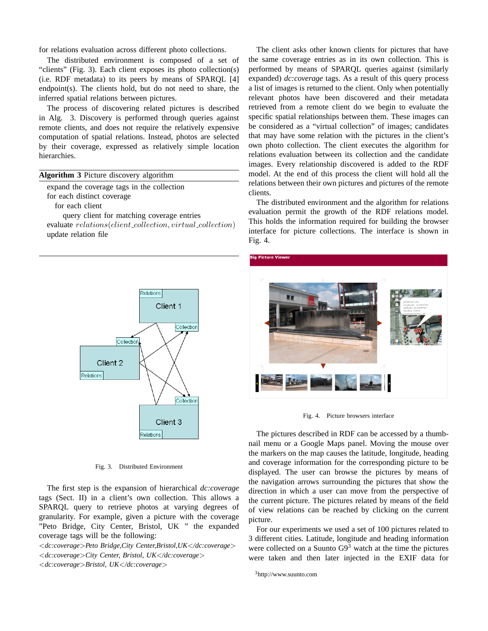for relations evaluation across different photo collections.

The distributed environment is composed of a set of "clients" (Fig. 3). Each client exposes its photo collection(s) (i.e. RDF metadata) to its peers by means of SPARQL [4] endpoint(s). The clients hold, but do not need to share, the inferred spatial relations between pictures.

The process of discovering related pictures is described in Alg. 3. Discovery is performed through queries against remote clients, and does not require the relatively expensive computation of spatial relations. Instead, photos are selected by their coverage, expressed as relatively simple location hierarchies.

| Algorithm 3 Picture discovery algorithm |  |  |  |  |
|-----------------------------------------|--|--|--|--|
|-----------------------------------------|--|--|--|--|

expand the coverage tags in the collection

for each distinct coverage

for each client

query client for matching coverage entries evaluate  $relations (client\_collection, virtual\_collection)$ update relation file



Fig. 3. Distributed Environment

The first step is the expansion of hierarchical *dc:coverage* tags (Sect. II) in a client's own collection. This allows a SPARQL query to retrieve photos at varying degrees of granularity. For example, given a picture with the coverage "Peto Bridge, City Center, Bristol, UK " the expanded coverage tags will be the following:

<*dc:coverage*>*Peto Bridge,City Center,Bristol,UK*<*/dc:coverage*> <*dc:coverage*>*City Center, Bristol, UK*<*/dc:coverage*> <*dc:coverage*>*Bristol, UK*<*/dc:coverage*>

The client asks other known clients for pictures that have the same coverage entries as in its own collection. This is performed by means of SPARQL queries against (similarly expanded) *dc:coverage* tags. As a result of this query process a list of images is returned to the client. Only when potentially relevant photos have been discovered and their metadata retrieved from a remote client do we begin to evaluate the specific spatial relationships between them. These images can be considered as a "virtual collection" of images; candidates that may have some relation with the pictures in the client's own photo collection. The client executes the algorithm for relations evaluation between its collection and the candidate images. Every relationship discovered is added to the RDF model. At the end of this process the client will hold all the relations between their own pictures and pictures of the remote clients.

The distributed environment and the algorithm for relations evaluation permit the growth of the RDF relations model. This holds the information required for building the browser interface for picture collections. The interface is shown in Fig. 4.



Fig. 4. Picture browsers interface

The pictures described in RDF can be accessed by a thumbnail menu or a Google Maps panel. Moving the mouse over the markers on the map causes the latitude, longitude, heading and coverage information for the corresponding picture to be displayed. The user can browse the pictures by means of the navigation arrows surrounding the pictures that show the direction in which a user can move from the perspective of the current picture. The pictures related by means of the field of view relations can be reached by clicking on the current picture.

For our experiments we used a set of 100 pictures related to 3 different cities. Latitude, longitude and heading information were collected on a Suunto  $G9<sup>3</sup>$  watch at the time the pictures were taken and then later injected in the EXIF data for

<sup>3</sup>http://www.suunto.com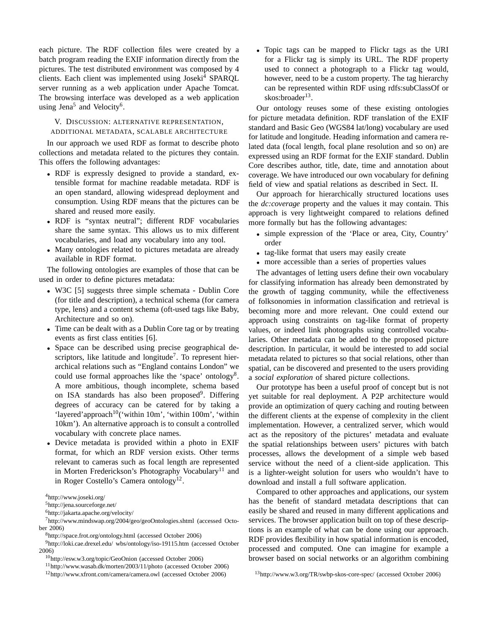each picture. The RDF collection files were created by a batch program reading the EXIF information directly from the pictures. The test distributed environment was composed by 4 clients. Each client was implemented using Joseki<sup>4</sup> SPARQL server running as a web application under Apache Tomcat. The browsing interface was developed as a web application using Jena<sup>5</sup> and Velocity<sup>6</sup>.

V. DISCUSSION: ALTERNATIVE REPRESENTATION, ADDITIONAL METADATA, SCALABLE ARCHITECTURE

In our approach we used RDF as format to describe photo collections and metadata related to the pictures they contain. This offers the following advantages:

- RDF is expressly designed to provide a standard, extensible format for machine readable metadata. RDF is an open standard, allowing widespread deployment and consumption. Using RDF means that the pictures can be shared and reused more easily.
- RDF is "syntax neutral"; different RDF vocabularies share the same syntax. This allows us to mix different vocabularies, and load any vocabulary into any tool.
- Many ontologies related to pictures metadata are already available in RDF format.

The following ontologies are examples of those that can be used in order to define pictures metadata:

- W3C [5] suggests three simple schemata Dublin Core (for title and description), a technical schema (for camera type, lens) and a content schema (oft-used tags like Baby, Architecture and so on).
- Time can be dealt with as a Dublin Core tag or by treating events as first class entities [6].
- Space can be described using precise geographical descriptors, like latitude and longitude<sup>7</sup>. To represent hierarchical relations such as "England contains London" we could use formal approaches like the 'space' ontology<sup>8</sup>. A more ambitious, though incomplete, schema based on ISA standards has also been proposed<sup>9</sup>. Differing degrees of accuracy can be catered for by taking a 'layered'approach $10$ ('within 10m', 'within 100m', 'within 10km'). An alternative approach is to consult a controlled vocabulary with concrete place names.
- Device metadata is provided within a photo in EXIF format, for which an RDF version exists. Other terms relevant to cameras such as focal length are represented in Morten Frederickson's Photography Vocabulary<sup>11</sup> and in Roger Costello's Camera ontology<sup>12</sup>.

<sup>4</sup>http://www.joseki.org/

<sup>5</sup>http://jena.sourceforge.net/

<sup>6</sup>http://jakarta.apache.org/velocity/

- <sup>9</sup>http://loki.cae.drexel.edu/ wbs/ontology/iso-19115.htm (accessed October 2006)
	- <sup>10</sup>http://esw.w3.org/topic/GeoOnion (accessed October 2006)

• Topic tags can be mapped to Flickr tags as the URI for a Flickr tag is simply its URL. The RDF property used to connect a photograph to a Flickr tag would, however, need to be a custom property. The tag hierarchy can be represented within RDF using rdfs:subClassOf or skos:broader<sup>13</sup>.

Our ontology reuses some of these existing ontologies for picture metadata definition. RDF translation of the EXIF standard and Basic Geo (WGS84 lat/long) vocabulary are used for latitude and longitude. Heading information and camera related data (focal length, focal plane resolution and so on) are expressed using an RDF format for the EXIF standard. Dublin Core describes author, title, date, time and annotation about coverage. We have introduced our own vocabulary for defining field of view and spatial relations as described in Sect. II.

Our approach for hierarchically structured locations uses the *dc:coverage* property and the values it may contain. This approach is very lightweight compared to relations defined more formally but has the following advantages:

- simple expression of the 'Place or area, City, Country' order
- tag-like format that users may easily create
- more accessible than a series of properties values

The advantages of letting users define their own vocabulary for classifying information has already been demonstrated by the growth of tagging community, while the effectiveness of folksonomies in information classification and retrieval is becoming more and more relevant. One could extend our approach using constraints on tag-like format of property values, or indeed link photographs using controlled vocabularies. Other metadata can be added to the proposed picture description. In particular, it would be interested to add social metadata related to pictures so that social relations, other than spatial, can be discovered and presented to the users providing a *social exploration* of shared picture collections.

Our prototype has been a useful proof of concept but is not yet suitable for real deployment. A P2P architecture would provide an optimization of query caching and routing between the different clients at the expense of complexity in the client implementation. However, a centralized server, which would act as the repository of the pictures' metadata and evaluate the spatial relationships between users' pictures with batch processes, allows the development of a simple web based service without the need of a client-side application. This is a lighter-weight solution for users who wouldn't have to download and install a full software application.

Compared to other approaches and applications, our system has the benefit of standard metadata descriptions that can easily be shared and reused in many different applications and services. The browser application built on top of these descriptions is an example of what can be done using our approach. RDF provides flexibility in how spatial information is encoded, processed and computed. One can imagine for example a browser based on social networks or an algorithm combining

<sup>7</sup>http://www.mindswap.org/2004/geo/geoOntologies.shtml (accessed October 2006)

<sup>8</sup>http://space.frot.org/ontology.html (accessed October 2006)

<sup>11</sup>http://www.wasab.dk/morten/2003/11/photo (accessed October 2006)

<sup>12</sup>http://www.xfront.com/camera/camera.owl (accessed October 2006)

<sup>13</sup>http://www.w3.org/TR/swbp-skos-core-spec/ (accessed October 2006)